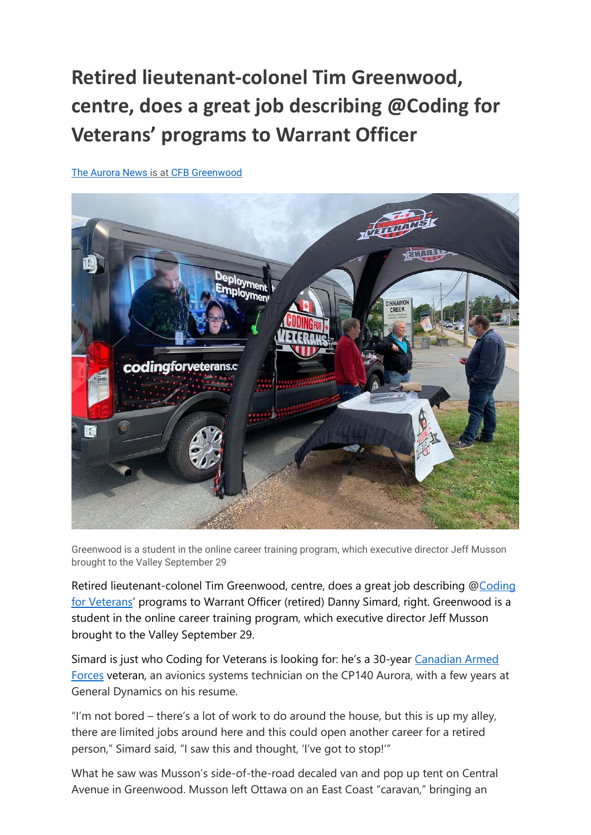## **Retired lieutenant-colonel Tim Greenwood, centre, does a great job describing [@Coding for](https://www.facebook.com/coding4veterans/?__cft__%5b0%5d=AZXU5gElqYJeJYuWvhvvWhJX0_43sSHmMCC5aXJdXBEnlmYTScgI6yu-viGchyBarrQMOc6YuLe-lKbDYP6QKfQ4wNulj5xQolvC4q3Zyf8avk-KT_48rrfsURpUayxCbaP5wDjkuPFACJhVQ3UYrohMf2_OtNmpsnsSAjObKUe0JS-X-khG5HzCfYaEiUCs4fI&__tn__=kK-R)  [Veterans'](https://www.facebook.com/coding4veterans/?__cft__%5b0%5d=AZXU5gElqYJeJYuWvhvvWhJX0_43sSHmMCC5aXJdXBEnlmYTScgI6yu-viGchyBarrQMOc6YuLe-lKbDYP6QKfQ4wNulj5xQolvC4q3Zyf8avk-KT_48rrfsURpUayxCbaP5wDjkuPFACJhVQ3UYrohMf2_OtNmpsnsSAjObKUe0JS-X-khG5HzCfYaEiUCs4fI&__tn__=kK-R) programs to Warrant Officer**

## [The Aurora News](https://www.facebook.com/TheAuroraNews?__cft__%5b0%5d=AZXU5gElqYJeJYuWvhvvWhJX0_43sSHmMCC5aXJdXBEnlmYTScgI6yu-viGchyBarrQMOc6YuLe-lKbDYP6QKfQ4wNulj5xQolvC4q3Zyf8avk-KT_48rrfsURpUayxCbaP5wDjkuPFACJhVQ3UYrohMf2_OtNmpsnsSAjObKUe0JS-X-khG5HzCfYaEiUCs4fI&__tn__=-%5dC%2CP-R) is at [CFB Greenwood](https://www.facebook.com/CFB-Greenwood-125998057443260/?__cft__%5b0%5d=AZXU5gElqYJeJYuWvhvvWhJX0_43sSHmMCC5aXJdXBEnlmYTScgI6yu-viGchyBarrQMOc6YuLe-lKbDYP6QKfQ4wNulj5xQolvC4q3Zyf8avk-KT_48rrfsURpUayxCbaP5wDjkuPFACJhVQ3UYrohMf2_OtNmpsnsSAjObKUe0JS-X-khG5HzCfYaEiUCs4fI&__tn__=kC%2CP-R)



Greenwood is a student in the online career training program, which executive director Jeff Musson brought to the Valley September 29

Retired lieutenant-colonel Tim Greenwood, centre, does a great job describing [@Coding](https://www.facebook.com/coding4veterans/?__cft__%5b0%5d=AZXU5gElqYJeJYuWvhvvWhJX0_43sSHmMCC5aXJdXBEnlmYTScgI6yu-viGchyBarrQMOc6YuLe-lKbDYP6QKfQ4wNulj5xQolvC4q3Zyf8avk-KT_48rrfsURpUayxCbaP5wDjkuPFACJhVQ3UYrohMf2_OtNmpsnsSAjObKUe0JS-X-khG5HzCfYaEiUCs4fI&__tn__=kK-R)  [for Veterans](https://www.facebook.com/coding4veterans/?__cft__%5b0%5d=AZXU5gElqYJeJYuWvhvvWhJX0_43sSHmMCC5aXJdXBEnlmYTScgI6yu-viGchyBarrQMOc6YuLe-lKbDYP6QKfQ4wNulj5xQolvC4q3Zyf8avk-KT_48rrfsURpUayxCbaP5wDjkuPFACJhVQ3UYrohMf2_OtNmpsnsSAjObKUe0JS-X-khG5HzCfYaEiUCs4fI&__tn__=kK-R)' programs to Warrant Officer (retired) Danny Simard, right. Greenwood is a student in the online career training program, which executive director Jeff Musson brought to the Valley September 29.

Simard is just who Coding for Veterans is looking for: he's a 30-year [Canadian Armed](https://www.facebook.com/CanadianForces?__cft__%5b0%5d=AZXU5gElqYJeJYuWvhvvWhJX0_43sSHmMCC5aXJdXBEnlmYTScgI6yu-viGchyBarrQMOc6YuLe-lKbDYP6QKfQ4wNulj5xQolvC4q3Zyf8avk-KT_48rrfsURpUayxCbaP5wDjkuPFACJhVQ3UYrohMf2_OtNmpsnsSAjObKUe0JS-X-khG5HzCfYaEiUCs4fI&__tn__=-%5dK-R)  [Forces](https://www.facebook.com/CanadianForces?__cft__%5b0%5d=AZXU5gElqYJeJYuWvhvvWhJX0_43sSHmMCC5aXJdXBEnlmYTScgI6yu-viGchyBarrQMOc6YuLe-lKbDYP6QKfQ4wNulj5xQolvC4q3Zyf8avk-KT_48rrfsURpUayxCbaP5wDjkuPFACJhVQ3UYrohMf2_OtNmpsnsSAjObKUe0JS-X-khG5HzCfYaEiUCs4fI&__tn__=-%5dK-R) veteran, an avionics systems technician on the CP140 Aurora, with a few years at General Dynamics on his resume.

"I'm not bored – there's a lot of work to do around the house, but this is up my alley, there are limited jobs around here and this could open another career for a retired person," Simard said, "I saw this and thought, 'I've got to stop!'"

What he saw was Musson's side-of-the-road decaled van and pop up tent on Central Avenue in Greenwood. Musson left Ottawa on an East Coast "caravan," bringing an